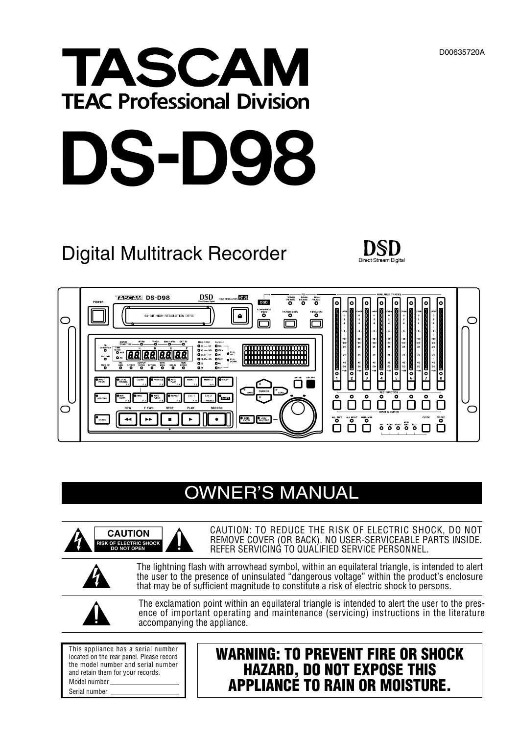# TASCAM **TEAC Professional Division**



# Digital Multitrack Recorder





# OWNER'S MANUAL



CAUTION: TO REDUCE THE RISK OF ELECTRIC SHOCK, DO NOT REMOVE COVER (OR BACK). NO USER-SERVICEABLE PARTS INSIDE. REFER SERVICING TO QUALIFIED SERVICE PERSONNEL.



The lightning flash with arrowhead symbol, within an equilateral triangle, is intended to alert the user to the presence of uninsulated "dangerous voltage" within the product's enclosure that may be of sufficient magnitude to constitute a risk of electric shock to persons.



The exclamation point within an equilateral triangle is intended to alert the user to the presence of important operating and maintenance (servicing) instructions in the literature accompanying the appliance.

This appliance has a serial number located on the rear panel. Please record the model number and serial number and retain them for your records. Model number Serial number

# **WARNING: TO PREVENT FIRE OR SHOCK HAZARD, DO NOT EXPOSE THIS APPLIANCE TO RAIN OR MOISTURE.**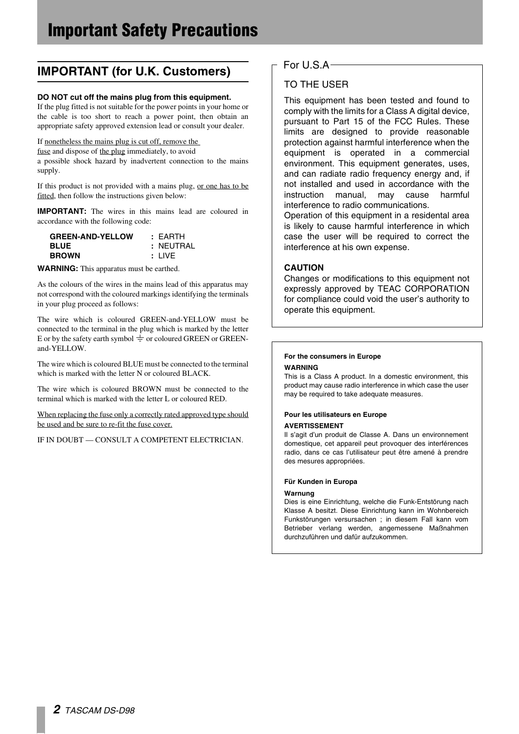# **IMPORTANT (for U.K. Customers)**

#### **DO NOT cut off the mains plug from this equipment.**

If the plug fitted is not suitable for the power points in your home or the cable is too short to reach a power point, then obtain an appropriate safety approved extension lead or consult your dealer.

#### If nonetheless the mains plug is cut off, remove the

fuse and dispose of the plug immediately, to avoid

a possible shock hazard by inadvertent connection to the mains supply.

If this product is not provided with a mains plug, or one has to be fitted, then follow the instructions given below:

**IMPORTANT:** The wires in this mains lead are coloured in accordance with the following code:

| <b>GREEN-AND-YELLOW</b> | : FARTH   |
|-------------------------|-----------|
| <b>BLUE</b>             | : NEUTRAL |
| <b>BROWN</b>            | : LIVE    |

**WARNING:** This apparatus must be earthed.

As the colours of the wires in the mains lead of this apparatus may not correspond with the coloured markings identifying the terminals in your plug proceed as follows:

The wire which is coloured GREEN-and-YELLOW must be connected to the terminal in the plug which is marked by the letter E or by the safety earth symbol  $\frac{1}{x}$  or coloured GREEN or GREENand-YELLOW.

The wire which is coloured BLUE must be connected to the terminal which is marked with the letter N or coloured BLACK.

The wire which is coloured BROWN must be connected to the terminal which is marked with the letter L or coloured RED.

When replacing the fuse only a correctly rated approved type should be used and be sure to re-fit the fuse cover.

IF IN DOUBT — CONSULT A COMPETENT ELECTRICIAN.

#### For U.S.A

### TO THE USER

This equipment has been tested and found to comply with the limits for a Class A digital device, pursuant to Part 15 of the FCC Rules. These limits are designed to provide reasonable protection against harmful interference when the equipment is operated in a commercial environment. This equipment generates, uses, and can radiate radio frequency energy and, if not installed and used in accordance with the instruction manual, may cause harmful interference to radio communications.

Operation of this equipment in a residental area is likely to cause harmful interference in which case the user will be required to correct the interference at his own expense.

#### **CAUTION**

Changes or modifications to this equipment not expressly approved by TEAC CORPORATION for compliance could void the user's authority to operate this equipment.

#### **For the consumers in Europe**

#### **WARNING**

This is a Class A product. In a domestic environment, this product may cause radio interference in which case the user may be required to take adequate measures.

#### **Pour les utilisateurs en Europe AVERTISSEMENT**

Il s'agit d'un produit de Classe A. Dans un environnement domestique, cet appareil peut provoquer des interférences radio, dans ce cas l'utilisateur peut être amené à prendre des mesures appropriées.

#### **Für Kunden in Europa**

#### **Warnung**

Dies is eine Einrichtung, welche die Funk-Entstörung nach Klasse A besitzt. Diese Einrichtung kann im Wohnbereich Funkstörungen versursachen ; in diesem Fall kann vom Betrieber verlang werden, angemessene Maßnahmen durchzuführen und dafür aufzukommen.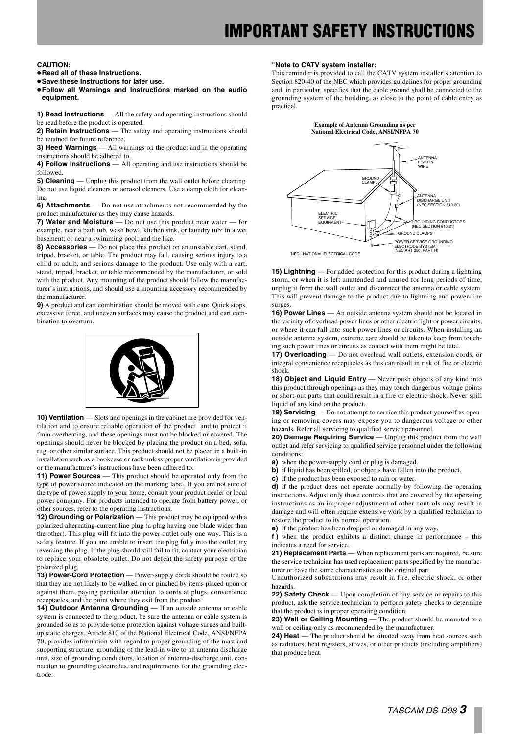# **IMPORTANT SAFETY INSTRUCTIONS**

#### **CAUTION:**

- **…Read all of these Instructions.**
- **…Save these Instructions for later use.**
- **…Follow all Warnings and Instructions marked on the audio equipment.**
- **1) Read Instructions** All the safety and operating instructions should be read before the product is operated.
- 2) Retain Instructions The safety and operating instructions should be retained for future reference.
- **3) Heed Warnings** All warnings on the product and in the operating instructions should be adhered to.
- **4) Follow Instructions** All operating and use instructions should be followed.
- **5) Cleaning** Unplug this product from the wall outlet before cleaning. Do not use liquid cleaners or aerosol cleaners. Use a damp cloth for cleaning.
- **6) Attachments** Do not use attachments not recommended by the product manufacturer as they may cause hazards.
- **7) Water and Moisture** Do not use this product near water for example, near a bath tub, wash bowl, kitchen sink, or laundry tub; in a wet basement; or near a swimming pool; and the like.
- **8) Accessories** Do not place this product on an unstable cart, stand, tripod, bracket, or table. The product may fall, causing serious injury to a child or adult, and serious damage to the product. Use only with a cart, stand, tripod, bracket, or table recommended by the manufacturer, or sold with the product. Any mounting of the product should follow the manufacturer's instructions, and should use a mounting accessory recommended by the manufacturer.
- **9)** A product and cart combination should be moved with care. Quick stops, excessive force, and uneven surfaces may cause the product and cart combination to overturn.



**10) Ventilation** — Slots and openings in the cabinet are provided for ventilation and to ensure reliable operation of the product and to protect it from overheating, and these openings must not be blocked or covered. The openings should never be blocked by placing the product on a bed, sofa, rug, or other similar surface. This product should not be placed in a built-in installation such as a bookcase or rack unless proper ventilation is provided or the manufacturer's instructions have been adhered to.

**11) Power Sources** — This product should be operated only from the type of power source indicated on the marking label. If you are not sure of the type of power supply to your home, consult your product dealer or local power company. For products intended to operate from battery power, or other sources, refer to the operating instructions.

**12) Grounding or Polarization** — This product may be equipped with a polarized alternating-current line plug (a plug having one blade wider than the other). This plug will fit into the power outlet only one way. This is a safety feature. If you are unable to insert the plug fully into the outlet, try reversing the plug. If the plug should still fail to fit, contact your electrician to replace your obsolete outlet. Do not defeat the safety purpose of the polarized plug.

**13) Power-Cord Protection** — Power-supply cords should be routed so that they are not likely to be walked on or pinched by items placed upon or against them, paying particular attention to cords at plugs, convenience receptacles, and the point where they exit from the product.

**14) Outdoor Antenna Grounding** — If an outside antenna or cable system is connected to the product, be sure the antenna or cable system is grounded so as to provide some protection against voltage surges and builtup static charges. Article 810 of the National Electrical Code, ANSI/NFPA 70, provides information with regard to proper grounding of the mast and supporting structure, grounding of the lead-in wire to an antenna discharge unit, size of grounding conductors, location of antenna-discharge unit, connection to grounding electrodes, and requirements for the grounding electrode.

#### **"Note to CATV system installer:**

This reminder is provided to call the CATV system installer's attention to Section 820-40 of the NEC which provides guidelines for proper grounding and, in particular, specifies that the cable ground shall be connected to the grounding system of the building, as close to the point of cable entry as practical.





**15) Lightning** — For added protection for this product during a lightning storm, or when it is left unattended and unused for long periods of time, unplug it from the wall outlet and disconnect the antenna or cable system. This will prevent damage to the product due to lightning and power-line surges.

**16) Power Lines** — An outside antenna system should not be located in the vicinity of overhead power lines or other electric light or power circuits, or where it can fall into such power lines or circuits. When installing an outside antenna system, extreme care should be taken to keep from touching such power lines or circuits as contact with them might be fatal.

**17) Overloading** — Do not overload wall outlets, extension cords, or integral convenience receptacles as this can result in risk of fire or electric shock.

**18) Object and Liquid Entry** — Never push objects of any kind into this product through openings as they may touch dangerous voltage points or short-out parts that could result in a fire or electric shock. Never spill liquid of any kind on the product.

**19) Servicing** — Do not attempt to service this product yourself as opening or removing covers may expose you to dangerous voltage or other hazards. Refer all servicing to qualified service personnel.

20) Damage Requiring Service — Unplug this product from the wall outlet and refer servicing to qualified service personnel under the following conditions:

- **a)** when the power-supply cord or plug is damaged.
- **b)** if liquid has been spilled, or objects have fallen into the product.
- **c)** if the product has been exposed to rain or water.

**d)** if the product does not operate normally by following the operating instructions. Adjust only those controls that are covered by the operating instructions as an improper adjustment of other controls may result in damage and will often require extensive work by a qualified technician to restore the product to its normal operation.

**e)** if the product has been dropped or damaged in any way.

**f )** when the product exhibits a distinct change in performance – this indicates a need for service.

**21) Replacement Parts** — When replacement parts are required, be sure the service technician has used replacement parts specified by the manufacturer or have the same characteristics as the original part.

Unauthorized substitutions may result in fire, electric shock, or other hazards.

**22) Safety Check** — Upon completion of any service or repairs to this product, ask the service technician to perform safety checks to determine that the product is in proper operating condition.

23) Wall or Ceiling Mounting — The product should be mounted to a wall or ceiling only as recommended by the manufacturer.

**24) Heat** — The product should be situated away from heat sources such as radiators, heat registers, stoves, or other products (including amplifiers) that produce heat.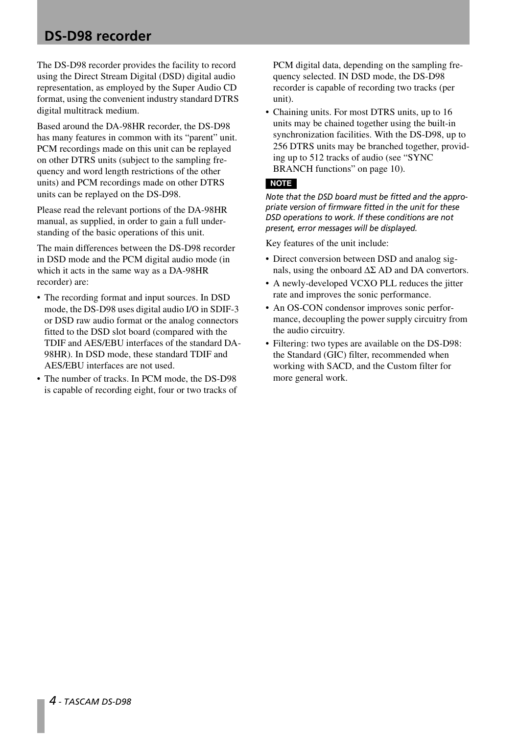The DS-D98 recorder provides the facility to record using the Direct Stream Digital (DSD) digital audio representation, as employed by the Super Audio CD format, using the convenient industry standard DTRS digital multitrack medium.

Based around the DA-98HR recorder, the DS-D98 has many features in common with its "parent" unit. PCM recordings made on this unit can be replayed on other DTRS units (subject to the sampling frequency and word length restrictions of the other units) and PCM recordings made on other DTRS units can be replayed on the DS-D98.

Please read the relevant portions of the DA-98HR manual, as supplied, in order to gain a full understanding of the basic operations of this unit.

The main differences between the DS-D98 recorder in DSD mode and the PCM digital audio mode (in which it acts in the same way as a DA-98HR recorder) are:

- The recording format and input sources. In DSD mode, the DS-D98 uses digital audio I/O in SDIF-3 or DSD raw audio format or the analog connectors fitted to the DSD slot board (compared with the TDIF and AES/EBU interfaces of the standard DA-98HR). In DSD mode, these standard TDIF and AES/EBU interfaces are not used.
- The number of tracks. In PCM mode, the DS-D98 is capable of recording eight, four or two tracks of

PCM digital data, depending on the sampling frequency selected. IN DSD mode, the DS-D98 recorder is capable of recording two tracks (per unit).

• Chaining units. For most DTRS units, up to 16 units may be chained together using the built-in synchronization facilities. With the DS-D98, up to 256 DTRS units may be branched together, providing up to 512 tracks of audio (see ["SYNC](#page-9-0)  [BRANCH functions" on page 10](#page-9-0)).

#### **NOTE**

*Note that the DSD board must be fitted and the appropriate version of firmware fitted in the unit for these DSD operations to work. If these conditions are not present, error messages will be displayed.*

Key features of the unit include:

- Direct conversion between DSD and analog signals, using the onboard  $\Delta \Sigma$  AD and DA convertors.
- A newly-developed VCXO PLL reduces the jitter rate and improves the sonic performance.
- An OS-CON condensor improves sonic performance, decoupling the power supply circuitry from the audio circuitry.
- Filtering: two types are available on the DS-D98: the Standard (GIC) filter, recommended when working with SACD, and the Custom filter for more general work.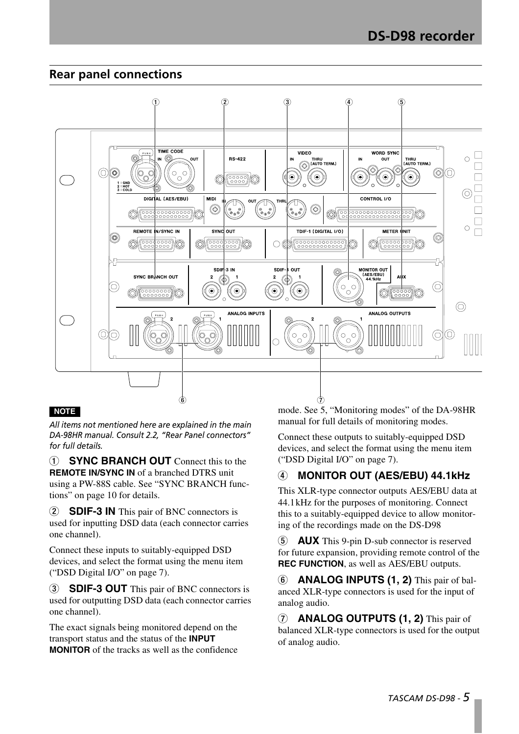# **Rear panel connections**



#### **NOTE**

*All items not mentioned here are explained in the main DA-98HR manual. Consult 2.2, "Rear Panel connectors" for full details.*

1 **SYNC BRANCH OUT** Connect this to the **REMOTE IN/SYNC IN** of a branched DTRS unit using a PW-88S cable. See ["SYNC BRANCH func](#page-9-0)[tions" on page 10](#page-9-0) for details.

2 **SDIF-3 IN** This pair of BNC connectors is used for inputting DSD data (each connector carries one channel).

Connect these inputs to suitably-equipped DSD devices, and select the format using the menu item [\("DSD Digital I/O" on page 7\)](#page-6-0).

3 **SDIF-3 OUT** This pair of BNC connectors is used for outputting DSD data (each connector carries one channel).

The exact signals being monitored depend on the transport status and the status of the **INPUT MONITOR** of the tracks as well as the confidence mode. See 5, "Monitoring modes" of the DA-98HR manual for full details of monitoring modes.

Connect these outputs to suitably-equipped DSD devices, and select the format using the menu item [\("DSD Digital I/O" on page 7](#page-6-0)).

# 4 **MONITOR OUT (AES/EBU) 44.1kHz**

This XLR-type connector outputs AES/EBU data at 44.1kHz for the purposes of monitoring. Connect this to a suitably-equipped device to allow monitoring of the recordings made on the DS-D98

5 **AUX** This 9-pin D-sub connector is reserved for future expansion, providing remote control of the **REC FUNCTION**, as well as AES/EBU outputs.

6 **ANALOG INPUTS (1, 2)** This pair of balanced XLR-type connectors is used for the input of analog audio.

7 **ANALOG OUTPUTS (1, 2)** This pair of balanced XLR-type connectors is used for the output of analog audio.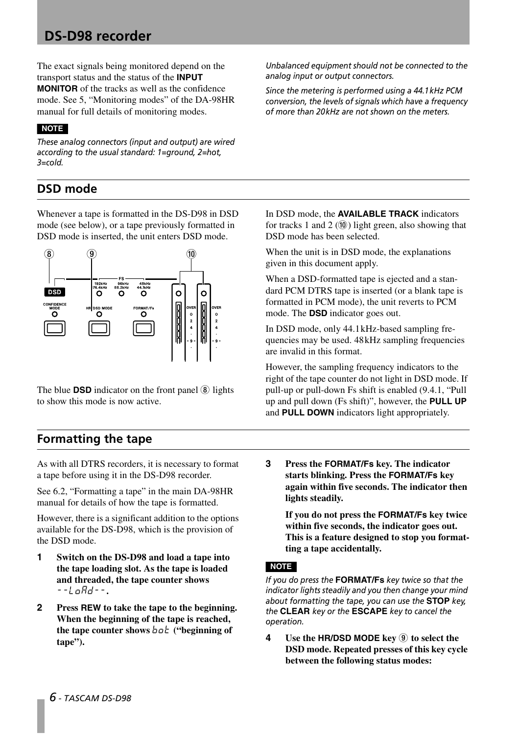The exact signals being monitored depend on the transport status and the status of the **INPUT MONITOR** of the tracks as well as the confidence mode. See 5, "Monitoring modes" of the DA-98HR manual for full details of monitoring modes.

#### **NOTE**

*These analog connectors (input and output) are wired according to the usual standard: 1=ground, 2=hot, 3=cold.*

# **DSD mode**

Whenever a tape is formatted in the DS-D98 in DSD mode (see below), or a tape previously formatted in DSD mode is inserted, the unit enters DSD mode.



The blue **DSD** indicator on the front panel  $\circled{8}$  lights to show this mode is now active.

*Unbalanced equipment should not be connected to the analog input or output connectors.*

*Since the metering is performed using a 44.1kHz PCM conversion, the levels of signals which have a frequency of more than 20kHz are not shown on the meters.*

In DSD mode, the **AVAILABLE TRACK** indicators for tracks 1 and 2  $(0)$  light green, also showing that DSD mode has been selected.

When the unit is in DSD mode, the explanations given in this document apply.

When a DSD-formatted tape is ejected and a standard PCM DTRS tape is inserted (or a blank tape is formatted in PCM mode), the unit reverts to PCM mode. The **DSD** indicator goes out.

In DSD mode, only 44.1kHz-based sampling frequencies may be used. 48kHz sampling frequencies are invalid in this format.

However, the sampling frequency indicators to the right of the tape counter do not light in DSD mode. If pull-up or pull-down Fs shift is enabled (9.4.1, "Pull up and pull down (Fs shift)", however, the **PULL UP** and **PULL DOWN** indicators light appropriately.

# **Formatting the tape**

As with all DTRS recorders, it is necessary to format a tape before using it in the DS-D98 recorder.

See 6.2, "Formatting a tape" in the main DA-98HR manual for details of how the tape is formatted.

However, there is a significant addition to the options available for the DS-D98, which is the provision of the DSD mode.

- **1 Switch on the DS-D98 and load a tape into the tape loading slot. As the tape is loaded and threaded, the tape counter shows** *--LoAD--***.**
- **2 Press REW to take the tape to the beginning. When the beginning of the tape is reached, the tape counter shows**  $b \circ b$  **("beginning of tape").**

**3 Press the FORMAT/Fs key. The indicator starts blinking. Press the FORMAT/Fs key again within five seconds. The indicator then lights steadily.**

**If you do not press the FORMAT/Fs key twice within five seconds, the indicator goes out. This is a feature designed to stop you formatting a tape accidentally.**

#### **NOTE**

*If you do press the* **FORMAT/Fs** *key twice so that the indicator lights steadily and you then change your mind about formatting the tape, you can use the* **STOP** *key, the* **CLEAR** *key or the* **ESCAPE** *key to cancel the operation.*

**4 Use the HR/DSD MODE key** 9 **to select the DSD mode. Repeated presses of this key cycle between the following status modes:**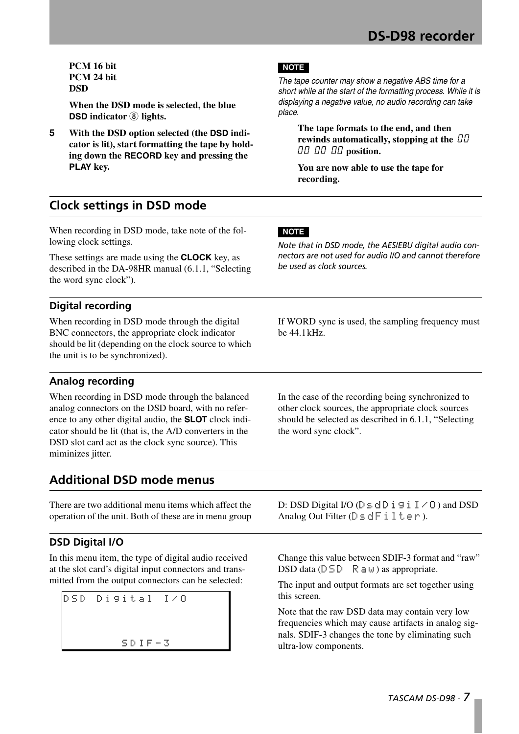**PCM 16 bit PCM 24 bit DSD**

**When the DSD mode is selected, the blue DSD indicator** 8 **lights.**

**5 With the DSD option selected (the DSD indicator is lit), start formatting the tape by holding down the RECORD key and pressing the PLAY key.**

#### **NOTE**

*The tape counter may show a negative ABS time for a short while at the start of the formatting process. While it is displaying a negative value, no audio recording can take place.*

**The tape formats to the end, and then rewinds automatically, stopping at the** *00 00 00 00* **position.**

**You are now able to use the tape for recording.**

# **Clock settings in DSD mode**

When recording in DSD mode, take note of the following clock settings.

These settings are made using the **CLOCK** key, as described in the DA-98HR manual (6.1.1, "Selecting the word sync clock").

### **Digital recording**

When recording in DSD mode through the digital BNC connectors, the appropriate clock indicator should be lit (depending on the clock source to which the unit is to be synchronized).

#### **NOTE**

*Note that in DSD mode, the AES/EBU digital audio connectors are not used for audio I/O and cannot therefore be used as clock sources.*

If WORD sync is used, the sampling frequency must be 44.1kHz.

In the case of the recording being synchronized to other clock sources, the appropriate clock sources should be selected as described in 6.1.1, "Selecting

the word sync clock".

# **Analog recording**

When recording in DSD mode through the balanced analog connectors on the DSD board, with no reference to any other digital audio, the **SLOT** clock indicator should be lit (that is, the A/D converters in the DSD slot card act as the clock sync source). This miminizes jitter.

**Additional DSD mode menus**

There are two additional menu items which affect the operation of the unit. Both of these are in menu group

# <span id="page-6-0"></span>**DSD Digital I/O**

In this menu item, the type of digital audio received at the slot card's digital input connectors and transmitted from the output connectors can be selected:

DSD Digital I/O  $SDIF-S$ 

D: DSD Digital I/O ( $\complement$   $\leq$   $\triangle$   $\complement$   $\cong$   $\cong$   $\Box$   $\cong$   $\Box$   $\cong$   $\Box$   $\cong$   $\Box$   $\cong$   $\Box$   $\cong$   $\Box$   $\cong$   $\Box$   $\cong$   $\Box$   $\cong$   $\Box$   $\cong$   $\Box$   $\cong$   $\Box$   $\cong$   $\Box$   $\cong$   $\Box$   $\cong$   $\Box$   $\cong$   $\Box$   $\cong$  Analog Out Filter (DsdFilter).

Change this value between SDIF-3 format and "raw" DSD data ( $DSD$  Raw) as appropriate.

The input and output formats are set together using this screen.

Note that the raw DSD data may contain very low frequencies which may cause artifacts in analog signals. SDIF-3 changes the tone by eliminating such ultra-low components.

*TASCAM DS-D98 - 7*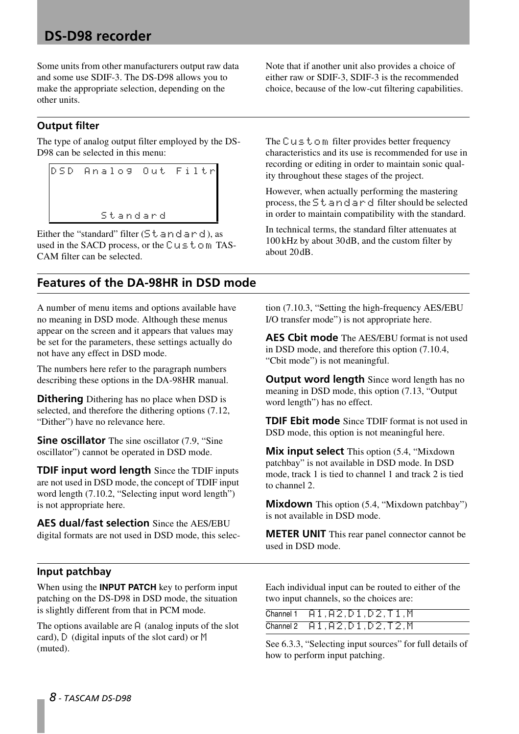Some units from other manufacturers output raw data and some use SDIF-3. The DS-D98 allows you to make the appropriate selection, depending on the other units.

#### **Output filter**

The type of analog output filter employed by the DS-D98 can be selected in this menu:

DSD Analog Out Filtr Standard

Either the "standard" filter  $(5t \text{ and } t \text{ or } d)$ , as used in the SACD process, or the  $\complement u \subseteq \mathbf{t} \circ \mathbf{m}$  TAS-CAM filter can be selected.

# **Features of the DA-98HR in DSD mode**

A number of menu items and options available have no meaning in DSD mode. Although these menus appear on the screen and it appears that values may be set for the parameters, these settings actually do not have any effect in DSD mode.

The numbers here refer to the paragraph numbers describing these options in the DA-98HR manual.

**Dithering** Dithering has no place when DSD is selected, and therefore the dithering options (7.12, "Dither") have no relevance here.

**Sine oscillator** The sine oscillator (7.9, "Sine" oscillator") cannot be operated in DSD mode.

**TDIF input word length** Since the TDIF inputs are not used in DSD mode, the concept of TDIF input word length (7.10.2, "Selecting input word length") is not appropriate here.

**AES dual/fast selection** Since the AES/EBU digital formats are not used in DSD mode, this selecNote that if another unit also provides a choice of either raw or SDIF-3, SDIF-3 is the recommended choice, because of the low-cut filtering capabilities.

The  $C \cup S$  to m filter provides better frequency characteristics and its use is recommended for use in recording or editing in order to maintain sonic quality throughout these stages of the project.

However, when actually performing the mastering process, the  $5t$  and ard filter should be selected in order to maintain compatibility with the standard.

In technical terms, the standard filter attenuates at 100 kHz by about 30dB, and the custom filter by about 20dB.

tion (7.10.3, "Setting the high-frequency AES/EBU I/O transfer mode") is not appropriate here.

**AES Cbit mode** The AES/EBU format is not used in DSD mode, and therefore this option (7.10.4, "Cbit mode") is not meaningful.

**Output word length** Since word length has no meaning in DSD mode, this option (7.13, "Output word length") has no effect.

**TDIF Ebit mode** Since TDIF format is not used in DSD mode, this option is not meaningful here.

**Mix input select** This option (5.4, "Mixdown patchbay" is not available in DSD mode. In DSD mode, track 1 is tied to channel 1 and track 2 is tied to channel 2.

**Mixdown** This option (5.4, "Mixdown patchbay") is not available in DSD mode.

**METER UNIT** This rear panel connector cannot be used in DSD mode.

#### **Input patchbay**

When using the **INPUT PATCH** key to perform input patching on the DS-D98 in DSD mode, the situation is slightly different from that in PCM mode.

The options available are  $\upbeta$  (analog inputs of the slot card),  $\[\n\bigcup$  (digital inputs of the slot card) or  $\[\mathbb{M}\]$ (muted).

Each individual input can be routed to either of the two input channels, so the choices are:

| Channel $1$ $0.1,0.2,0.1,0.2,0.1,0.1$                                            |
|----------------------------------------------------------------------------------|
| Channel $2$ $\theta$ $1, \theta$ $2, \theta$ $1, \theta$ $2, \theta$ $2, \theta$ |

See 6.3.3, "Selecting input sources" for full details of how to perform input patching.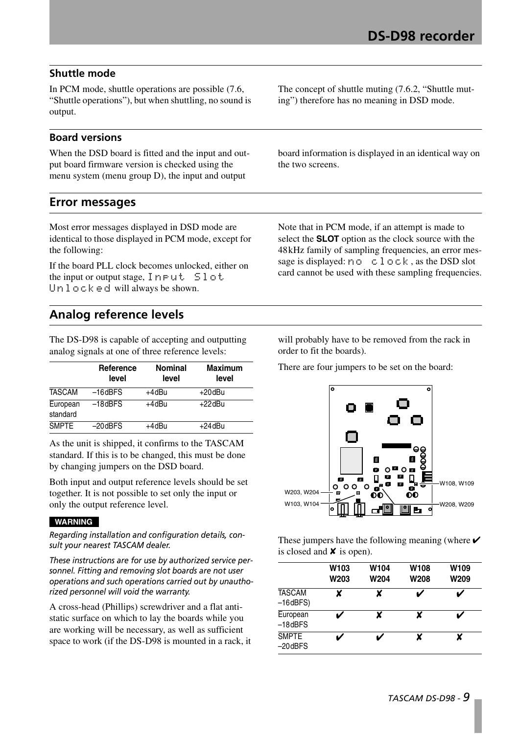### **Shuttle mode**

In PCM mode, shuttle operations are possible (7.6, "Shuttle operations"), but when shuttling, no sound is output.

#### **Board versions**

When the DSD board is fitted and the input and output board firmware version is checked using the menu system (menu group D), the input and output

The concept of shuttle muting (7.6.2, "Shuttle muting") therefore has no meaning in DSD mode.

board information is displayed in an identical way on the two screens.

# **Error messages**

Most error messages displayed in DSD mode are identical to those displayed in PCM mode, except for the following:

If the board PLL clock becomes unlocked, either on the input or output stage,  $Input$  Slot Unlocked will always be shown.

Note that in PCM mode, if an attempt is made to select the **SLOT** option as the clock source with the 48kHz family of sampling frequencies, an error message is displayed:  $n \circ \text{close}$ , as the DSD slot card cannot be used with these sampling frequencies.

# **Analog reference levels**

The DS-D98 is capable of accepting and outputting analog signals at one of three reference levels:

|                      | Reference<br>level | <b>Nominal</b><br>level | <b>Maximum</b><br>level |
|----------------------|--------------------|-------------------------|-------------------------|
| <b>TASCAM</b>        | $-16$ d $BFS$      | +4dBu                   | +20dBu                  |
| European<br>standard | $-18$ d $BFS$      | +4dBu                   | $+22$ dBu               |
| <b>SMPTE</b>         | $-20$ d $BFS$      | +4dBu                   | +24dBu                  |

As the unit is shipped, it confirms to the TASCAM standard. If this is to be changed, this must be done by changing jumpers on the DSD board.

Both input and output reference levels should be set together. It is not possible to set only the input or only the output reference level.

#### **WARNING**

*Regarding installation and configuration details, consult your nearest TASCAM dealer.*

*These instructions are for use by authorized service personnel. Fitting and removing slot boards are not user operations and such operations carried out by unauthorized personnel will void the warranty.*

A cross-head (Phillips) screwdriver and a flat antistatic surface on which to lay the boards while you are working will be necessary, as well as sufficient space to work (if the DS-D98 is mounted in a rack, it

will probably have to be removed from the rack in order to fit the boards).

There are four jumpers to be set on the board:



These jumpers have the following meaning (where  $\checkmark$ is closed and  $\boldsymbol{\times}$  is open).

|                                  | W103<br>W203 | W104<br><b>W204</b> | W108<br>W208 | W109<br>W209 |
|----------------------------------|--------------|---------------------|--------------|--------------|
| <b>TASCAM</b><br>$-16$ d $BFS$ ) | X            | x                   |              |              |
| European<br>$-18$ d $BFS$        |              |                     | X            |              |
| <b>SMPTE</b><br>$-20$ d $BFS$    |              |                     | x            |              |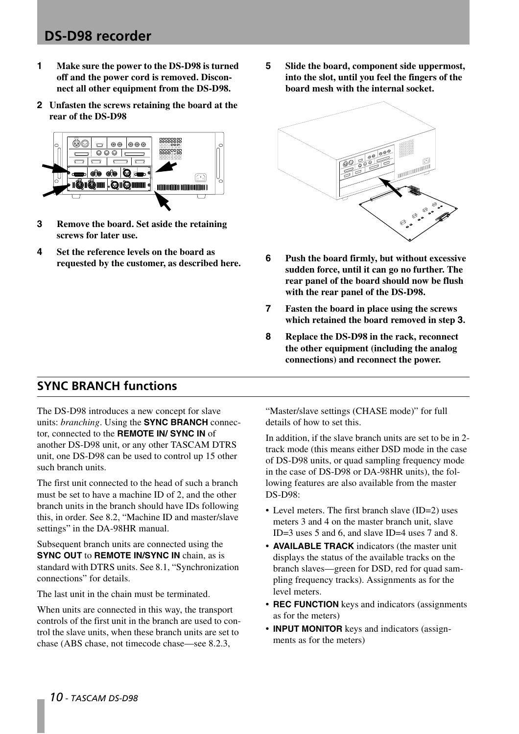- **1 Make sure the power to the DS-D98 is turned off and the power cord is removed. Disconnect all other equipment from the DS-D98.**
- **2 Unfasten the screws retaining the board at the rear of the DS-D98**



- **3 Remove the board. Set aside the retaining screws for later use.**
- **4 Set the reference levels on the board as requested by the customer, as described here.**

**5 Slide the board, component side uppermost, into the slot, until you feel the fingers of the board mesh with the internal socket.**



- **6 Push the board firmly, but without excessive sudden force, until it can go no further. The rear panel of the board should now be flush with the rear panel of the DS-D98.**
- **7 Fasten the board in place using the screws which retained the board removed in step 3.**
- **8 Replace the DS-D98 in the rack, reconnect the other equipment (including the analog connections) and reconnect the power.**

# <span id="page-9-0"></span>**SYNC BRANCH functions**

The DS-D98 introduces a new concept for slave units: *branching*. Using the **SYNC BRANCH** connector, connected to the **REMOTE IN/ SYNC IN** of another DS-D98 unit, or any other TASCAM DTRS unit, one DS-D98 can be used to control up 15 other such branch units.

The first unit connected to the head of such a branch must be set to have a machine ID of 2, and the other branch units in the branch should have IDs following this, in order. See 8.2, "Machine ID and master/slave settings" in the DA-98HR manual.

Subsequent branch units are connected using the **SYNC OUT** to **REMOTE IN/SYNC IN** chain, as is standard with DTRS units. See 8.1, "Synchronization connections" for details.

The last unit in the chain must be terminated.

When units are connected in this way, the transport controls of the first unit in the branch are used to control the slave units, when these branch units are set to chase (ABS chase, not timecode chase—see 8.2.3,

"Master/slave settings (CHASE mode)" for full details of how to set this.

In addition, if the slave branch units are set to be in 2 track mode (this means either DSD mode in the case of DS-D98 units, or quad sampling frequency mode in the case of DS-D98 or DA-98HR units), the following features are also available from the master DS-D98:

- Level meters. The first branch slave (ID=2) uses meters 3 and 4 on the master branch unit, slave ID=3 uses 5 and 6, and slave ID=4 uses 7 and 8.
- **AVAILABLE TRACK** indicators (the master unit displays the status of the available tracks on the branch slaves—green for DSD, red for quad sampling frequency tracks). Assignments as for the level meters.
- **REC FUNCTION** keys and indicators (assignments as for the meters)
- **INPUT MONITOR** keys and indicators (assignments as for the meters)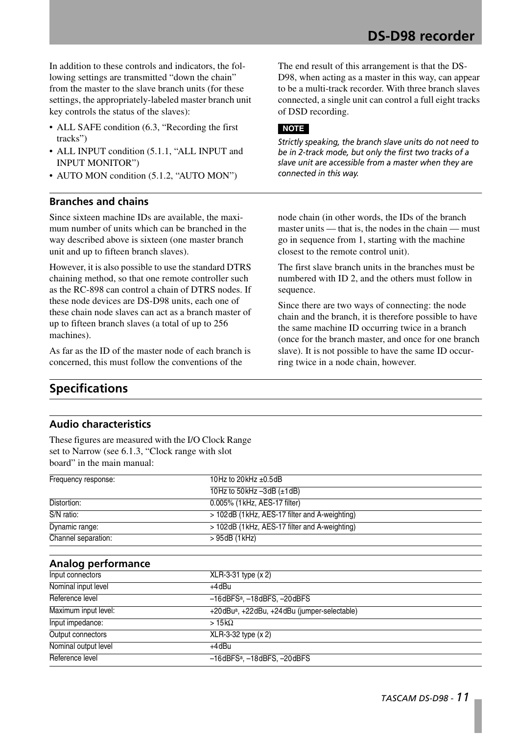In addition to these controls and indicators, the following settings are transmitted "down the chain" from the master to the slave branch units (for these settings, the appropriately-labeled master branch unit key controls the status of the slaves):

- ALL SAFE condition (6.3, "Recording the first tracks")
- ALL INPUT condition (5.1.1, "ALL INPUT and INPUT MONITOR")
- AUTO MON condition (5.1.2, "AUTO MON")

#### **Branches and chains**

Since sixteen machine IDs are available, the maximum number of units which can be branched in the way described above is sixteen (one master branch unit and up to fifteen branch slaves).

However, it is also possible to use the standard DTRS chaining method, so that one remote controller such as the RC-898 can control a chain of DTRS nodes. If these node devices are DS-D98 units, each one of these chain node slaves can act as a branch master of up to fifteen branch slaves (a total of up to 256 machines).

As far as the ID of the master node of each branch is concerned, this must follow the conventions of the

**Specifications**

#### **Audio characteristics**

These figures are measured with the I/O Clock Range set to Narrow (see 6.1.3, "Clock range with slot board" in the main manual:

**Analog performance** Frequency response: 10Hz to 20kHz ±0.5dB 10Hz to 50kHz –3dB (±1dB) Distortion: 0.005% (1kHz, AES-17 filter)  $\overline{S/N}$  ratio:  $> 102$ dB (1kHz, AES-17 filter and A-weighting) Dynamic range:  $> 102$ dB (1kHz, AES-17 filter and A-weighting) Channel separation: > 95dB (1kHz) Input connectors XLR-3-31 type (x 2) Nominal input level +4dBu Reference level –16dBFSa, –18dBFS, –20dBFS Maximum input level: +20dBu<sup>a</sup>, +22dBu, +24dBu (jumper-selectable)  $Input impedance:$  >  $15k\Omega$ Output connectors XLR-3-32 type (x 2) Nominal output level  $+4dBu$ Reference level –16dBFSa, –18dBFS, –20dBFS

The end result of this arrangement is that the DS-D98, when acting as a master in this way, can appear to be a multi-track recorder. With three branch slaves connected, a single unit can control a full eight tracks of DSD recording.

#### **NOTE**

*Strictly speaking, the branch slave units do not need to be in 2-track mode, but only the first two tracks of a slave unit are accessible from a master when they are connected in this way.*

node chain (in other words, the IDs of the branch master units — that is, the nodes in the chain — must go in sequence from 1, starting with the machine closest to the remote control unit).

The first slave branch units in the branches must be numbered with ID 2, and the others must follow in sequence.

Since there are two ways of connecting: the node chain and the branch, it is therefore possible to have the same machine ID occurring twice in a branch (once for the branch master, and once for one branch slave). It is not possible to have the same ID occurring twice in a node chain, however.